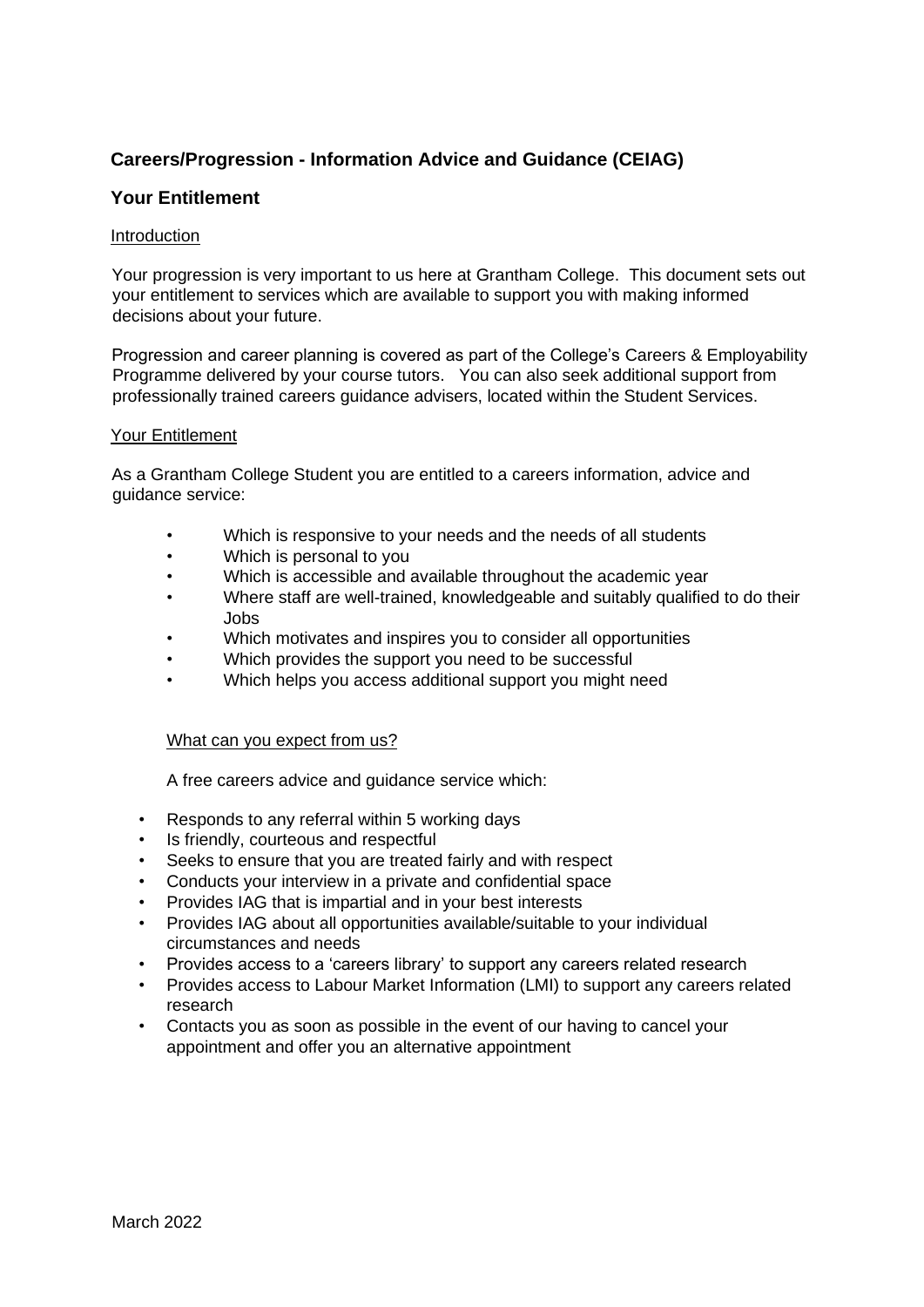# **Careers/Progression - Information Advice and Guidance (CEIAG)**

# **Your Entitlement**

# Introduction

Your progression is very important to us here at Grantham College. This document sets out your entitlement to services which are available to support you with making informed decisions about your future.

Progression and career planning is covered as part of the College's Careers & Employability Programme delivered by your course tutors. You can also seek additional support from professionally trained careers guidance advisers, located within the Student Services.

## Your Entitlement

As a Grantham College Student you are entitled to a careers information, advice and guidance service:

- Which is responsive to your needs and the needs of all students
- Which is personal to you
- Which is accessible and available throughout the academic year
- Where staff are well-trained, knowledgeable and suitably qualified to do their Jobs
- Which motivates and inspires you to consider all opportunities
- Which provides the support you need to be successful
- Which helps you access additional support you might need

#### What can you expect from us?

A free careers advice and guidance service which:

- Responds to any referral within 5 working days
- Is friendly, courteous and respectful
- Seeks to ensure that you are treated fairly and with respect
- Conducts your interview in a private and confidential space
- Provides IAG that is impartial and in your best interests
- Provides IAG about all opportunities available/suitable to your individual circumstances and needs
- Provides access to a 'careers library' to support any careers related research
- Provides access to Labour Market Information (LMI) to support any careers related research
- Contacts you as soon as possible in the event of our having to cancel your appointment and offer you an alternative appointment